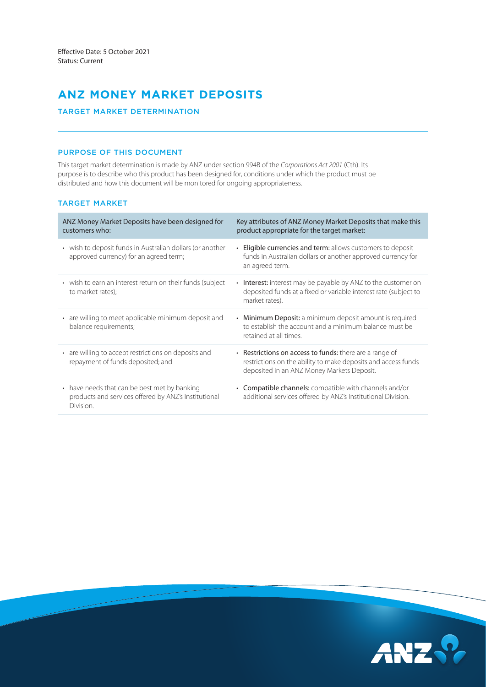# **ANZ MONEY MARKET DEPOSITS**

# TARGET MARKET DETERMINATION

# PURPOSE OF THIS DOCUMENT

 purpose is to describe who this product has been designed for, conditions under which the product must be This target market determination is made by ANZ under section 994B of the *Corporations Act 2001* (Cth). Its distributed and how this document will be monitored for ongoing appropriateness.

# TARGET MARKET

| ANZ Money Market Deposits have been designed for<br>customers who:                                                | Key attributes of ANZ Money Market Deposits that make this<br>product appropriate for the target market:                                                                     |
|-------------------------------------------------------------------------------------------------------------------|------------------------------------------------------------------------------------------------------------------------------------------------------------------------------|
| • wish to deposit funds in Australian dollars (or another<br>approved currency) for an agreed term;               | <b>Eligible currencies and term:</b> allows customers to deposit<br>funds in Australian dollars or another approved currency for<br>an agreed term.                          |
| • wish to earn an interest return on their funds (subject<br>to market rates);                                    | • Interest: interest may be payable by ANZ to the customer on<br>deposited funds at a fixed or variable interest rate (subject to<br>market rates).                          |
| • are willing to meet applicable minimum deposit and<br>balance requirements;                                     | • Minimum Deposit: a minimum deposit amount is required<br>to establish the account and a minimum balance must be<br>retained at all times.                                  |
| • are willing to accept restrictions on deposits and<br>repayment of funds deposited; and                         | $\cdot$ Restrictions on access to funds: there are a range of<br>restrictions on the ability to make deposits and access funds<br>deposited in an ANZ Money Markets Deposit. |
| • have needs that can be best met by banking<br>products and services offered by ANZ's Institutional<br>Division. | • Compatible channels: compatible with channels and/or<br>additional services offered by ANZ's Institutional Division.                                                       |

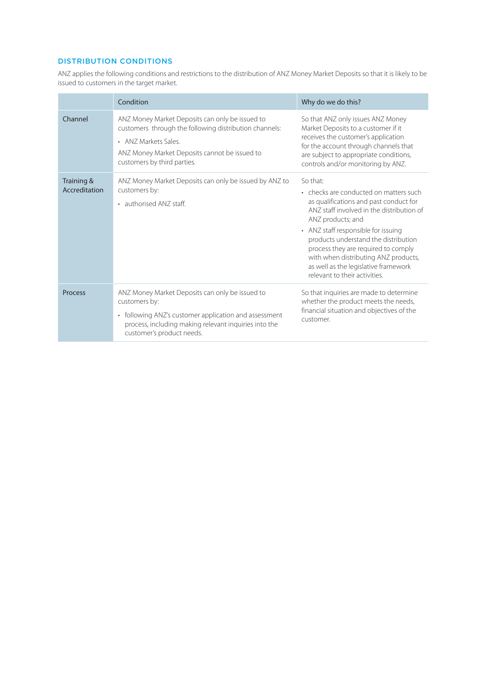# DISTRIBUTION CONDITIONS

ANZ applies the following conditions and restrictions to the distribution of ANZ Money Market Deposits so that it is likely to be issued to customers in the target market.

|                             | Condition                                                                                                                                                                                                         | Why do we do this?                                                                                                                                                                                                                                                                                                                                                                                    |
|-----------------------------|-------------------------------------------------------------------------------------------------------------------------------------------------------------------------------------------------------------------|-------------------------------------------------------------------------------------------------------------------------------------------------------------------------------------------------------------------------------------------------------------------------------------------------------------------------------------------------------------------------------------------------------|
| Channel                     | ANZ Money Market Deposits can only be issued to<br>customers through the following distribution channels:<br>• ANZ Markets Sales.<br>ANZ Money Market Deposits cannot be issued to<br>customers by third parties. | So that ANZ only issues ANZ Money<br>Market Deposits to a customer if it<br>receives the customer's application<br>for the account through channels that<br>are subject to appropriate conditions,<br>controls and/or monitoring by ANZ.                                                                                                                                                              |
| Training &<br>Accreditation | ANZ Money Market Deposits can only be issued by ANZ to<br>customers by:<br>• authorised ANZ staff.                                                                                                                | So that:<br>• checks are conducted on matters such<br>as qualifications and past conduct for<br>ANZ staff involved in the distribution of<br>ANZ products; and<br>• ANZ staff responsible for issuing<br>products understand the distribution<br>process they are required to comply<br>with when distributing ANZ products,<br>as well as the legislative framework<br>relevant to their activities. |
| Process                     | ANZ Money Market Deposits can only be issued to<br>customers by:<br>• following ANZ's customer application and assessment<br>process, including making relevant inquiries into the<br>customer's product needs.   | So that inquiries are made to determine<br>whether the product meets the needs,<br>financial situation and objectives of the<br>customer.                                                                                                                                                                                                                                                             |